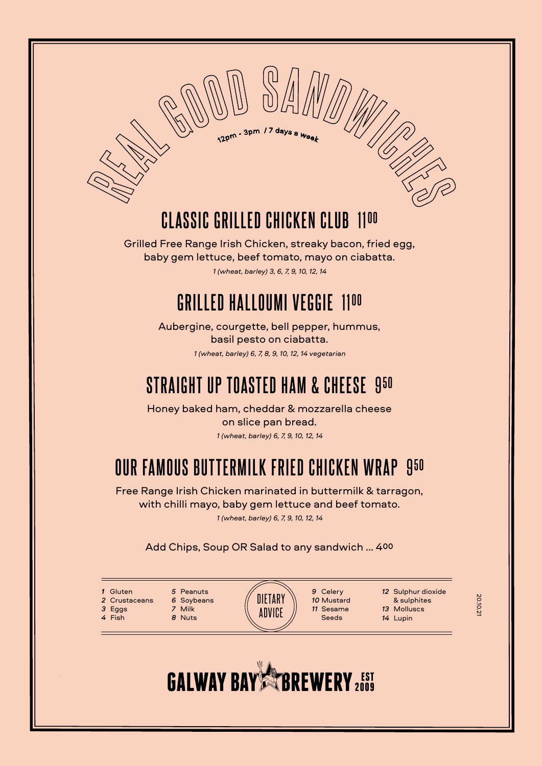**CLASSIC GRILLED CHICKEN CLUB** 11**<sup>00</sup>**

12pm - 3pm / 7 days a <sub>We</sub>

Grilled Free Range Irish Chicken, streaky bacon, fried egg, baby gem lettuce, beef tomato, mayo on ciabatta. *1 (wheat, barley) 3, 6, 7, 9, 10, 12, 14*

#### **GRILLED HALLOUMI VEGGIE** 11**<sup>00</sup>**

Aubergine, courgette, bell pepper, hummus, basil pesto on ciabatta. *1 (wheat, barley) 6, 7, 8, 9, 10, 12, 14 vegetarian*

#### **STRAIGHT UP TOASTED HAM & CHEESE** 9**<sup>50</sup>**

Honey baked ham, cheddar & mozzarella cheese on slice pan bread. *1 (wheat, barley) 6, 7, 9, 10, 12, 14*

## **OUR FAMOUS BUTTERMILK FRIED CHICKEN WRAP** 9**<sup>50</sup>**

Free Range Irish Chicken marinated in buttermilk & tarragon, with chilli mayo, baby gem lettuce and beef tomato.

*1 (wheat, barley) 6, 7, 9, 10, 12, 14*

#### Add Chips, Soup OR Salad to any sandwich ... 400

- *1* Gluten *2* Crustaceans *3* Eggs
- *4* Fish
- *5* Peanuts *7* Milk *8* Nuts
- *6* Soybeans
- DIETARY **ADVICE**
- *9* Celery *10* Mustard *11* Sesame Seeds
- *12* Sulphur dioxide & sulphites *13* Molluscs
- *14* Lupin
- 20.10.21

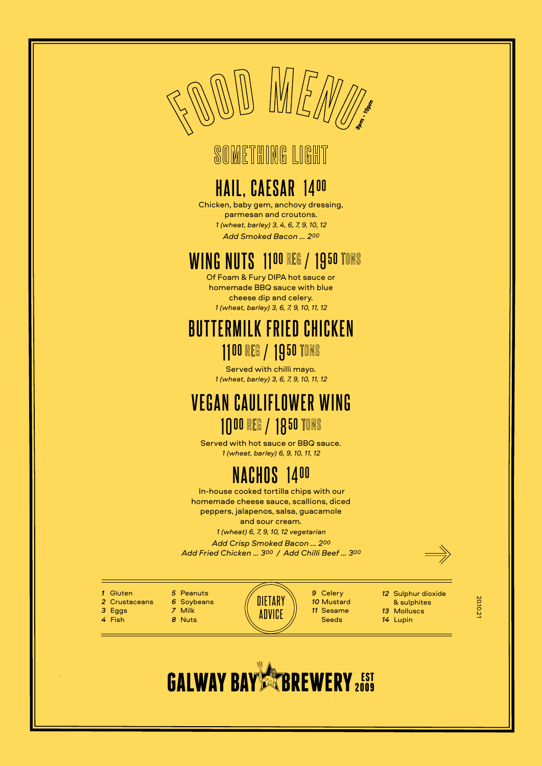

#### **SOMETHING LIGHT**

#### **HAIL, CAESAR** 14**<sup>00</sup>**

Chicken, baby gem, anchovy dressing, parmesan and croutons. *1 (wheat, barley) 3, 4, 6, 7, 9, 10, 12 Add Smoked Bacon ... 200*

#### *WING NUTS 1100 REG / 1950 TONS*

Of Foam & Fury DIPA hot sauce or homemade BBQ sauce with blue cheese dip and celery. *1 (wheat, barley) 3, 6, 7, 9, 10, 11, 12*

#### **BUTTERMILK FRIED CHICKEN** 1100 REG / 1950 TONS

Served with chilli mayo. *1 (wheat, barley) 3, 6, 7, 9, 10, 11, 12*

#### **VEGAN CAULIFLOWER WING** 1000 REG / 1850 TONS

Served with hot sauce or BBQ sauce. *1 (wheat, barley) 6, 9, 10, 11, 12*

#### **NACHOS** 14**<sup>00</sup>**

 In-house cooked tortilla chips with our homemade cheese sauce, scallions, diced peppers, jalapenos, salsa, guacamole and sour cream.

*1 (wheat) 6, 7, 9, 10, 12 vegetarian*

*Add Crisp Smoked Bacon ... 200 Add Fried Chicken ... 300 / Add Chilli Beef ... 300*

- *1* Gluten *2* Crustaceans
- *3* Eggs *4* Fish

*5* Peanuts *6* Soybeans *7* Milk *8* Nuts

**DIETARY ADVICE** 

*9* Celery *10* Mustard *11* Sesame Seeds

*12* Sulphur dioxide & sulphites

*13* Molluscs *14* Lupin

20.10.21

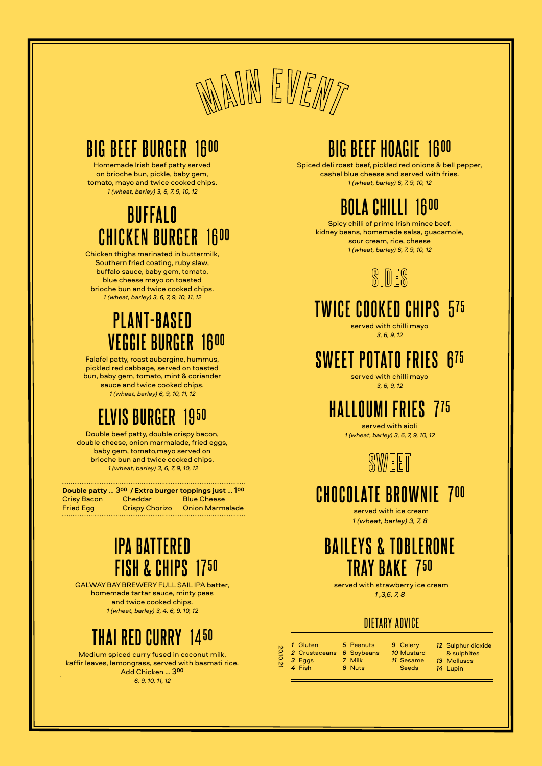

#### **BIG BEEF BURGER** 16**<sup>00</sup>**

Homemade Irish beef patty served on brioche bun, pickle, baby gem, tomato, mayo and twice cooked chips. *1 (wheat, barley) 3, 6, 7, 9, 10, 12*

#### **BUFFALO CHICKEN BURGER** 16**<sup>00</sup>**

Chicken thighs marinated in buttermilk, Southern fried coating, ruby slaw, buffalo sauce, baby gem, tomato, blue cheese mayo on toasted brioche bun and twice cooked chips. *1 (wheat, barley) 3, 6, 7, 9, 10, 11, 12*

#### **PLANT-BASED VEGGIE BURGER** 16**<sup>00</sup>**

Falafel patty, roast aubergine, hummus, pickled red cabbage, served on toasted bun, baby gem, tomato, mint & coriander sauce and twice cooked chips. *1 (wheat, barley) 6, 9, 10, 11, 12*

#### **ELVIS BURGER** 19**<sup>50</sup>**

Double beef patty, double crispy bacon, double cheese, onion marmalade, fried eggs, baby gem, tomato,mayo served on brioche bun and twice cooked chips.  *1 (wheat, barley) 3, 6, 7, 9, 10, 12*

|                    |                       | Double patty  300 / Extra burger toppings just  100 |
|--------------------|-----------------------|-----------------------------------------------------|
| <b>Crisy Bacon</b> | Cheddar               | <b>Blue Cheese</b>                                  |
| <b>Fried Egg</b>   | <b>Crispy Chorizo</b> | <b>Onion Marmalade</b>                              |

#### **IPA BATTERED FISH & CHIPS** 17**<sup>50</sup>**

GALWAY BAY BREWERY FULL SAIL IPA batter, homemade tartar sauce, minty peas and twice cooked chips. *1 (wheat, barley) 3, 4, 6, 9, 10, 12*

#### **THAI RED CURRY** 14**<sup>50</sup>**

Medium spiced curry fused in coconut milk, kaffir leaves, lemongrass, served with basmati rice. Add Chicken ... 3**<sup>00</sup>** *6, 9, 10, 11, 12*

### **BIG BEEF HOAGIE** 16**<sup>00</sup>**

Spiced deli roast beef, pickled red onions & bell pepper, cashel blue cheese and served with fries. *1 (wheat, barley) 6, 7, 9, 10, 12*



Spicy chilli of prime Irish mince beef, kidney beans, homemade salsa, guacamole, sour cream, rice, cheese *1 (wheat, barley) 6, 7, 9, 10, 12*



#### **TWICE COOKED CHIPS** 5**<sup>75</sup>**

served with chilli mayo *3, 6, 9, 12*

#### **SWEET POTATO FRIES** 6**<sup>75</sup>**

served with chilli mayo *3, 6, 9, 12*

#### **HALLOUMI FRIES** 7**<sup>75</sup>**

served with aioli *1 (wheat, barley) 3, 6, 7, 9, 10, 12*



#### **CHOCOLATE BROWNIE** 7**<sup>00</sup>**

 served with ice cream *1 (wheat, barley) 3, 7, 8*

#### **BAILEYS & TOBLERONE TRAY BAKE** 7**<sup>50</sup>**

 served with strawberry ice cream *1 ,3,6, 7, 8*

#### DIETARY ADVICE

| 1 Gluten      | 5 |
|---------------|---|
| 2 Crustaceans | 6 |
| 3 Eggs        | 7 |
| 4 Fish        | я |

*7* Milk *8* Nuts

20.10.21

*5* Peanuts *6* Soybeans *9* Celery *10* Mustard *11* Sesame Seeds

*12* Sulphur dioxide & sulphites *13* Molluscs

*14* Lupin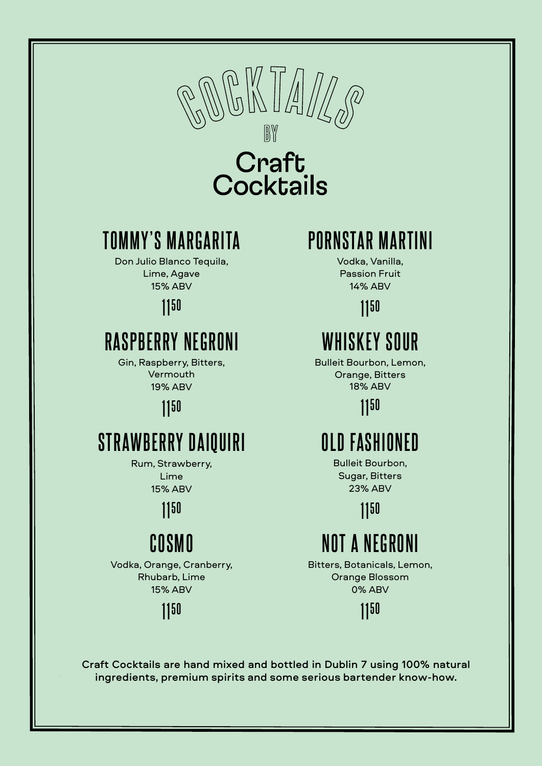

# **Craft<br>Cocktails**

#### **TOMMY'S MARGARITA**

Don Julio Blanco Tequila, Lime, Agave 15% ABV

#### 11**50**

### **RASPBERRY NEGRONI**

Gin, Raspberry, Bitters, Vermouth 19% ABV

11**50**

## **STRAWBERRY DAIQUIRI**

Rum, Strawberry, Lime

15% ABV

11**50**

# **COSMO**

Vodka, Orange, Cranberry, Rhubarb, Lime 15% ABV

11**50**

# **PORNSTAR MARTINI**

Vodka, Vanilla, Passion Fruit 14% ABV

11**50**

# **WHISKEY SOUR**

Bulleit Bourbon, Lemon, Orange, Bitters 18% ABV

11**50**

# **OLD FASHIONED**

Bulleit Bourbon, Sugar, Bitters 23% ABV

11**50**

# **NOT A NEGRONI**

Bitters, Botanicals, Lemon, Orange Blossom 0% ABV

11**50**

Craft Cocktails are hand mixed and bottled in Dublin 7 using 100% natural ingredients, premium spirits and some serious bartender know-how.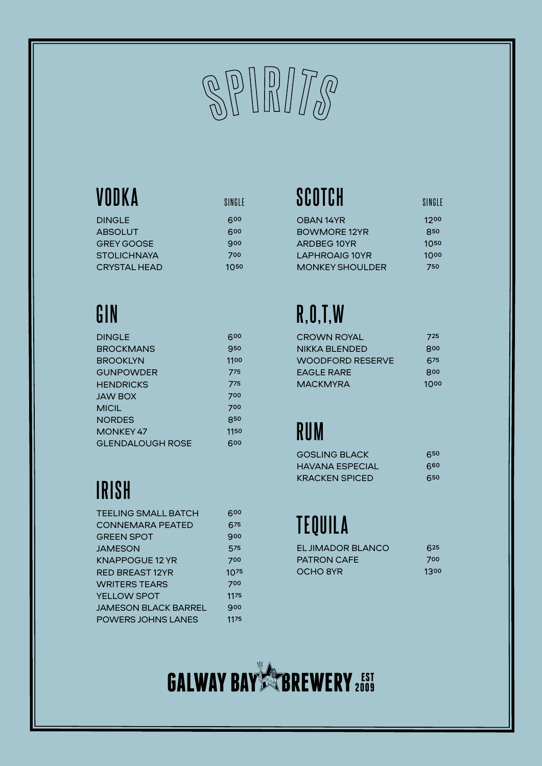

# **VODKA**

| 600       |
|-----------|
| 600       |
| 900       |
| 700       |
| $10^{50}$ |
|           |

# **GIN**

| <b>DINGLE</b>           | 600  |
|-------------------------|------|
| <b>BROCKMANS</b>        | 950  |
| BROOKLYN                | 1100 |
| <b>GUNPOWDER</b>        | 775  |
| <b>HENDRICKS</b>        | 775  |
| JAW BOX                 | 700  |
| MICIL                   | 700  |
| NORDES                  | 850  |
| MONKEY 47               | 1150 |
| <b>GLENDALOUGH ROSE</b> | 600  |
|                         |      |

# **IRISH**

| <b>TEELING SMALL BATCH</b>  | 600              |
|-----------------------------|------------------|
| <b>CONNEMARA PEATED</b>     | 675              |
| <b>GREEN SPOT</b>           | 900              |
| <b>JAMESON</b>              | 575              |
| <b>KNAPPOGUE 12 YR</b>      | 700              |
| <b>RED BREAST 12YR</b>      | 10 <sub>75</sub> |
| <b>WRITERS TEARS</b>        | 700              |
| <b>YELLOW SPOT</b>          | 1175             |
| <b>JAMESON BLACK BARREL</b> | 900              |
| <b>POWERS JOHNS LANES</b>   | 1175             |

# SINGLE **SCOTCH** SINGLE

| OBAN 14YR       | 1200      |
|-----------------|-----------|
| BOWMORE 12YR    | 850       |
| ARDBEG 10YR     | $10^{50}$ |
| LAPHROAIG 10YR  | 1000      |
| MONKEY SHOULDER | 750       |
|                 |           |

# **R,O,T,W**

| <b>CROWN ROYAL</b>      | 725  |
|-------------------------|------|
| NIKKA BLENDED           | 800  |
| <b>WOODFORD RESERVE</b> | 675  |
| EAGLE RARE              | 800  |
| MACKMYRA                | 1000 |

## **RUM**

| <b>GOSLING BLACK</b>   | 650 |
|------------------------|-----|
| <b>HAVANA ESPECIAL</b> | 660 |
| <b>KRACKEN SPICED</b>  | 650 |

# **TEQUILA**

| EL JIMADOR BLANCO  | 625  |
|--------------------|------|
| <b>PATRON CAFE</b> | 700  |
| OCHO 8YR           | 1300 |

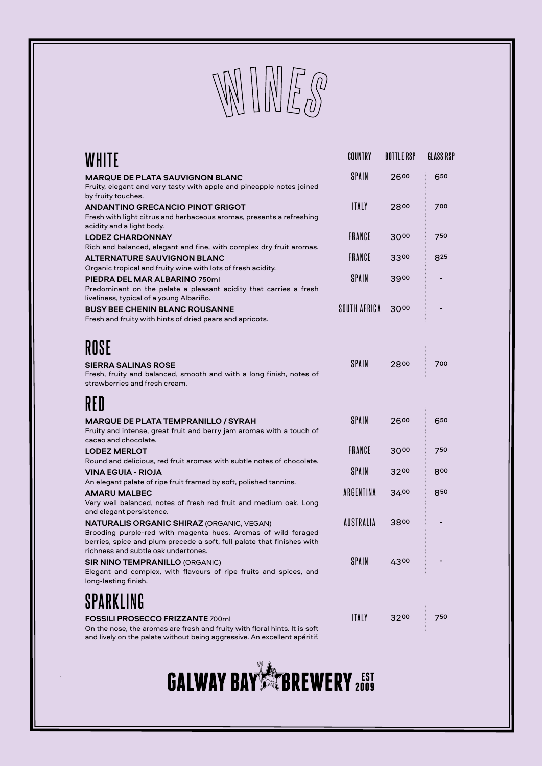

| WHITE                                                                                                                                                                                                                       | COUNTRY      | <b>BOTTLE RSP</b> | <b>GLASS RSP</b> |
|-----------------------------------------------------------------------------------------------------------------------------------------------------------------------------------------------------------------------------|--------------|-------------------|------------------|
| <b>MARQUE DE PLATA SAUVIGNON BLANC</b><br>Fruity, elegant and very tasty with apple and pineapple notes joined<br>by fruity touches.                                                                                        | <b>SPAIN</b> | 2600              | 650              |
| <b>ANDANTINO GRECANCIO PINOT GRIGOT</b><br>Fresh with light citrus and herbaceous aromas, presents a refreshing<br>acidity and a light body.                                                                                | <b>ITALY</b> | 2800              | 700              |
| <b>LODEZ CHARDONNAY</b><br>Rich and balanced, elegant and fine, with complex dry fruit aromas.                                                                                                                              | FRANCE       | 3000              | 750              |
| <b>ALTERNATURE SAUVIGNON BLANC</b><br>Organic tropical and fruity wine with lots of fresh acidity.                                                                                                                          | FRANCE       | 3300              | 825              |
| PIEDRA DEL MAR ALBARINO 750ml<br>Predominant on the palate a pleasant acidity that carries a fresh<br>liveliness, typical of a young Albariño.                                                                              | <b>SPAIN</b> | 3900              |                  |
| <b>BUSY BEE CHENIN BLANC ROUSANNE</b><br>Fresh and fruity with hints of dried pears and apricots.                                                                                                                           | SOUTH AFRICA | 3000              |                  |
| ROSE                                                                                                                                                                                                                        |              |                   |                  |
| <b>SIERRA SALINAS ROSE</b><br>Fresh, fruity and balanced, smooth and with a long finish, notes of<br>strawberries and fresh cream.                                                                                          | <b>SPAIN</b> | 2800              | 700              |
| RED                                                                                                                                                                                                                         |              |                   |                  |
| <b>MARQUE DE PLATA TEMPRANILLO / SYRAH</b><br>Fruity and intense, great fruit and berry jam aromas with a touch of<br>cacao and chocolate.                                                                                  | SPAIN        | 2600              | 650              |
| <b>LODEZ MERLOT</b><br>Round and delicious, red fruit aromas with subtle notes of chocolate.                                                                                                                                | FRANCE       | 3000              | 750              |
| VINA EGUIA - RIOJA<br>An elegant palate of ripe fruit framed by soft, polished tannins.                                                                                                                                     | <b>SPAIN</b> | 3200              | 800              |
| <b>AMARU MALBEC</b><br>Very well balanced, notes of fresh red fruit and medium oak. Long<br>and elegant persistence.                                                                                                        | ARGENTINA    | 3400              | 850              |
| NATURALIS ORGANIC SHIRAZ (ORGANIC, VEGAN)<br>Brooding purple-red with magenta hues. Aromas of wild foraged<br>berries, spice and plum precede a soft, full palate that finishes with<br>richness and subtle oak undertones. | AUSTRALIA    | 3800              |                  |
| <b>SIR NINO TEMPRANILLO (ORGANIC)</b><br>Elegant and complex, with flavours of ripe fruits and spices, and<br>long-lasting finish.                                                                                          | SPAIN        | 4300              |                  |
| SPARKLING                                                                                                                                                                                                                   |              |                   |                  |
| <b>FOSSILI PROSECCO FRIZZANTE 700ml</b><br>On the nose, the aromas are fresh and fruity with floral hints. It is soft                                                                                                       | <b>ITALY</b> | 3200              | 750              |

and lively on the palate without being aggressive. An excellent apéritif.